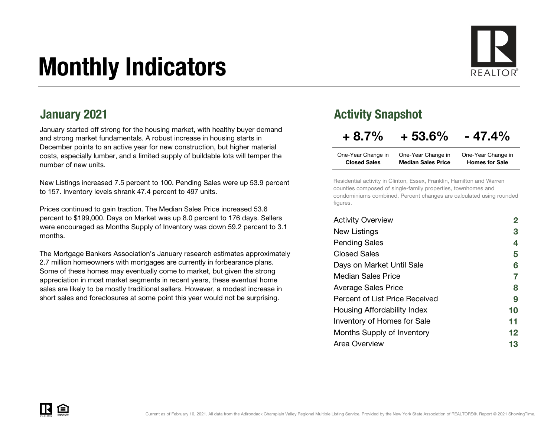# Monthly Indicators



January started off strong for the housing market, with healthy buyer demand and strong market fundamentals. A robust increase in housing starts in December points to an active year for new construction, but higher material costs, especially lumber, and a limited supply of buildable lots will temper the number of new units.

New Listings increased 7.5 percent to 100. Pending Sales were up 53.9 percent to 157. Inventory levels shrank 47.4 percent to 497 units.

Prices continued to gain traction. The Median Sales Price increased 53.6 percent to \$199,000. Days on Market was up 8.0 percent to 176 days. Sellers were encouraged as Months Supply of Inventory was down 59.2 percent to 3.1 months.

The Mortgage Bankers Association's January research estimates approximately 2.7 million homeowners with mortgages are currently in forbearance plans. Some of these homes may eventually come to market, but given the strong appreciation in most market segments in recent years, these eventual home sales are likely to be mostly traditional sellers. However, a modest increase in short sales and foreclosures at some point this year would not be surprising.

#### January 2021 **Activity Snapshot Activity Snapshot**

### $+8.7\% + 53.6\% - 47.4\%$

| One-Year Change in  | One-Year Change in        | One-Year Change in    |
|---------------------|---------------------------|-----------------------|
| <b>Closed Sales</b> | <b>Median Sales Price</b> | <b>Homes for Sale</b> |

Residential activity in Clinton, Essex, Franklin, Hamilton and Warren counties composed of single-family properties, townhomes and condominiums combined. Percent changes are calculated using rounded figures.

| <b>Activity Overview</b>       |                   |
|--------------------------------|-------------------|
| New Listings                   | 3                 |
| <b>Pending Sales</b>           | 4                 |
| Closed Sales                   | 5                 |
| Days on Market Until Sale      | 6                 |
| <b>Median Sales Price</b>      | 7                 |
| <b>Average Sales Price</b>     | 8                 |
| Percent of List Price Received | 9                 |
| Housing Affordability Index    | 10                |
| Inventory of Homes for Sale    | 11                |
| Months Supply of Inventory     | $12 \ \mathsf{ }$ |
| Area Overview                  | 13                |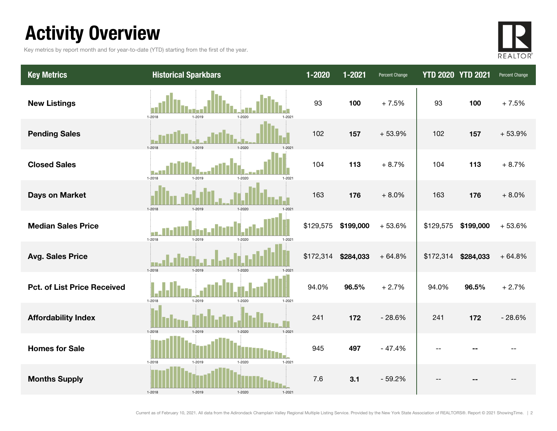### Activity Overview

Key metrics by report month and for year-to-date (YTD) starting from the first of the year.



| <b>Key Metrics</b>                 | <b>Historical Sparkbars</b>                  | $1 - 2020$ | 1-2021    | Percent Change | <b>YTD 2020 YTD 2021</b> |           | Percent Change |
|------------------------------------|----------------------------------------------|------------|-----------|----------------|--------------------------|-----------|----------------|
| <b>New Listings</b>                | $1 - 2018$<br>1-2019<br>1-2020<br>1-2021     | 93         | 100       | $+7.5%$        | 93                       | 100       | $+7.5%$        |
| <b>Pending Sales</b>               | 1-2018<br>1-2019<br>$1 - 2020$               | 102        | 157       | $+53.9%$       | 102                      | 157       | $+53.9%$       |
| <b>Closed Sales</b>                | 1-2018<br>$1 - 2019$<br>1-2020<br>1-2021     | 104        | 113       | $+8.7%$        | 104                      | 113       | $+8.7%$        |
| <b>Days on Market</b>              | 1-2018<br>1-2019<br>$1 - 2020$               | 163        | 176       | $+8.0%$        | 163                      | 176       | $+8.0%$        |
| <b>Median Sales Price</b>          | $1 - 2018$<br>1-2019<br>1-2020<br>1-2021     | \$129,575  | \$199,000 | $+53.6%$       | \$129,575                | \$199,000 | $+53.6%$       |
| <b>Avg. Sales Price</b>            | 1-2018<br>1-2019<br>$1 - 2020$               | \$172,314  | \$284,033 | $+64.8%$       | \$172,314                | \$284,033 | $+64.8%$       |
| <b>Pct. of List Price Received</b> | 1-2018<br>1-2019<br>$1 - 2021$<br>1-2020     | 94.0%      | 96.5%     | $+2.7%$        | 94.0%                    | 96.5%     | $+2.7%$        |
| <b>Affordability Index</b>         | 1-2019<br>$1 - 2021$<br>1-2018<br>$1 - 2020$ | 241        | 172       | $-28.6%$       | 241                      | 172       | $-28.6%$       |
| <b>Homes for Sale</b>              | $1 - 2021$<br>1-2018<br>1-2019<br>1-2020     | 945        | 497       | $-47.4%$       | --                       |           |                |
| <b>Months Supply</b>               | 1-2018<br>1-2021                             | 7.6        | 3.1       | $-59.2%$       |                          |           |                |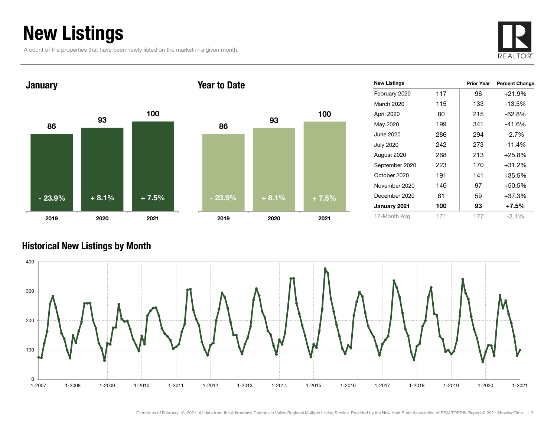### New Listings

A count of the properties that have been newly listed on the market in a given month.





| <b>New Listings</b> |     | <b>Prior Year</b> | <b>Percent Change</b> |
|---------------------|-----|-------------------|-----------------------|
| February 2020       | 117 | 96                | $+21.9%$              |
| March 2020          | 115 | 133               | -13.5%                |
| April 2020          | 80  | 215               | $-62.8%$              |
| May 2020            | 199 | 341               | $-41.6%$              |
| June 2020           | 286 | 294               | $-2.7\%$              |
| <b>July 2020</b>    | 242 | 273               | $-11.4%$              |
| August 2020         | 268 | 213               | $+25.8%$              |
| September 2020      | 223 | 170               | $+31.2%$              |
| October 2020        | 191 | 141               | $+35.5%$              |
| November 2020       | 146 | 97                | +50.5%                |
| December 2020       | 81  | 59                | $+37.3%$              |
| January 2021        | 100 | 93                | $+7.5\%$              |
| 12-Month Avg        | 171 | 177               | $-3.4%$               |

#### Historical New Listings by Month



100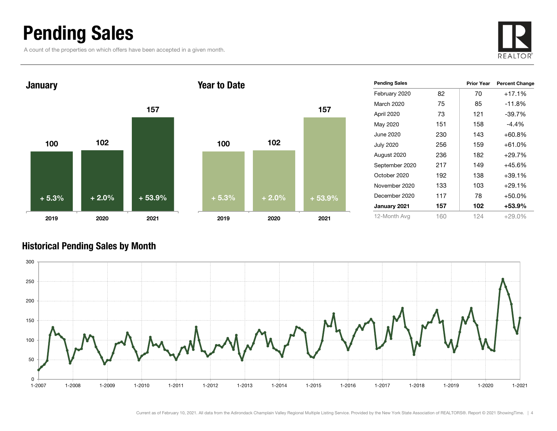### Pending Sales

A count of the properties on which offers have been accepted in a given month.





| <b>Pending Sales</b> |     | <b>Prior Year</b> | <b>Percent Change</b> |
|----------------------|-----|-------------------|-----------------------|
| February 2020        | 82  | 70                | $+17.1%$              |
| <b>March 2020</b>    | 75  | 85                | $-11.8%$              |
| April 2020           | 73  | 121               | $-39.7%$              |
| May 2020             | 151 | 158               | $-4.4\%$              |
| June 2020            | 230 | 143               | $+60.8\%$             |
| <b>July 2020</b>     | 256 | 159               | +61.0%                |
| August 2020          | 236 | 182               | $+29.7%$              |
| September 2020       | 217 | 149               | +45.6%                |
| October 2020         | 192 | 138               | +39.1%                |
| November 2020        | 133 | 103               | +29.1%                |
| December 2020        | 117 | 78                | +50.0%                |
| January 2021         | 157 | 102               | +53.9%                |
| 12-Month Avg         | 160 | 124               | $+29.0\%$             |

#### Historical Pending Sales by Month

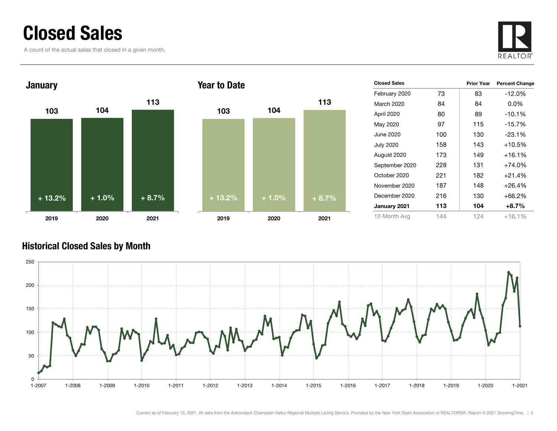### Closed Sales

A count of the actual sales that closed in a given month.





| <b>Closed Sales</b> |     | <b>Prior Year</b> | <b>Percent Change</b> |
|---------------------|-----|-------------------|-----------------------|
| February 2020       | 73  | 83                | $-12.0%$              |
| March 2020          | 84  | 84                | $0.0\%$               |
| April 2020          | 80  | 89                | $-10.1%$              |
| May 2020            | 97  | 115               | $-15.7\%$             |
| June 2020           | 100 | 130               | $-23.1%$              |
| <b>July 2020</b>    | 158 | 143               | +10.5%                |
| August 2020         | 173 | 149               | $+16.1%$              |
| September 2020      | 228 | 131               | $+74.0%$              |
| October 2020        | 221 | 182               | $+21.4%$              |
| November 2020       | 187 | 148               | $+26.4%$              |
| December 2020       | 216 | 130               | $+66.2%$              |
| January 2021        | 113 | 104               | $+8.7\%$              |
| 12-Month Avg        | 144 | 124               | $+16.1%$              |

#### Historical Closed Sales by Month



113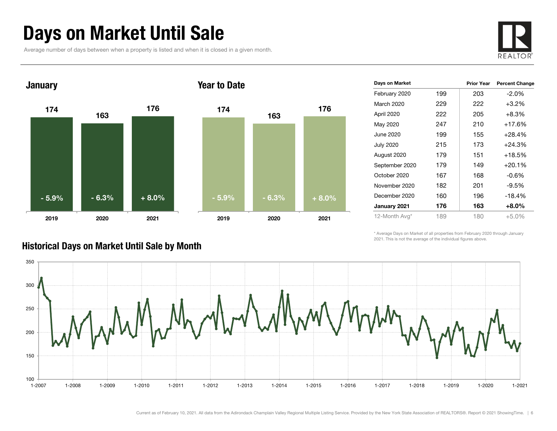### Days on Market Until Sale

Average number of days between when a property is listed and when it is closed in a given month.





| Days on Market   |     | <b>Prior Year</b> | <b>Percent Change</b> |
|------------------|-----|-------------------|-----------------------|
| February 2020    | 199 | 203               | $-2.0\%$              |
| March 2020       | 229 | 222               | $+3.2%$               |
| April 2020       | 222 | 205               | +8.3%                 |
| May 2020         | 247 | 210               | $+17.6%$              |
| June 2020        | 199 | 155               | $+28.4%$              |
| <b>July 2020</b> | 215 | 173               | +24.3%                |
| August 2020      | 179 | 151               | $+18.5%$              |
| September 2020   | 179 | 149               | $+20.1%$              |
| October 2020     | 167 | 168               | $-0.6\%$              |
| November 2020    | 182 | 201               | $-9.5%$               |
| December 2020    | 160 | 196               | $-18.4%$              |
| January 2021     | 176 | 163               | +8.0%                 |
| 12-Month Avg*    | 189 | 180               | $+5.0%$               |

\* Average Days on Market of all properties from February 2020 through January 2021. This is not the average of the individual figures above.



#### Historical Days on Market Until Sale by Month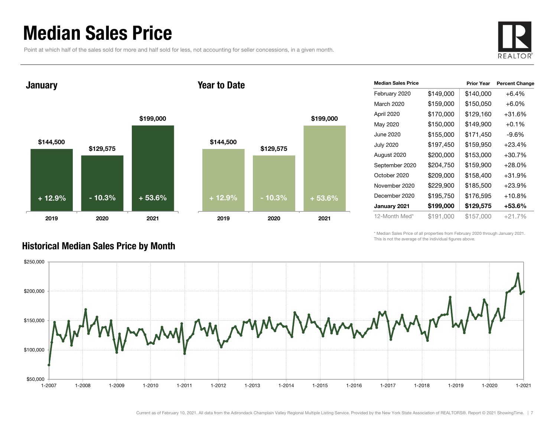### Median Sales Price

Point at which half of the sales sold for more and half sold for less, not accounting for seller concessions, in a given month.



January

#### Year to Date



| <b>Median Sales Price</b> |           | <b>Prior Year</b> | <b>Percent Change</b> |
|---------------------------|-----------|-------------------|-----------------------|
| February 2020             | \$149,000 | \$140,000         | $+6.4%$               |
| March 2020                | \$159,000 | \$150,050         | $+6.0\%$              |
| April 2020                | \$170,000 | \$129,160         | +31.6%                |
| May 2020                  | \$150,000 | \$149,900         | $+0.1\%$              |
| June 2020                 | \$155,000 | \$171,450         | $-9.6%$               |
| <b>July 2020</b>          | \$197,450 | \$159,950         | $+23.4%$              |
| August 2020               | \$200,000 | \$153,000         | $+30.7%$              |
| September 2020            | \$204,750 | \$159,900         | $+28.0%$              |
| October 2020              | \$209,000 | \$158,400         | +31.9%                |
| November 2020             | \$229,900 | \$185,500         | $+23.9%$              |
| December 2020             | \$195,750 | \$176,595         | $+10.8%$              |
| January 2021              | \$199,000 | \$129,575         | +53.6%                |
| 12-Month Med*             | \$191.000 | \$157,000         | $+21.7%$              |

\* Median Sales Price of all properties from February 2020 through January 2021. This is not the average of the individual figures above.



#### Historical Median Sales Price by Month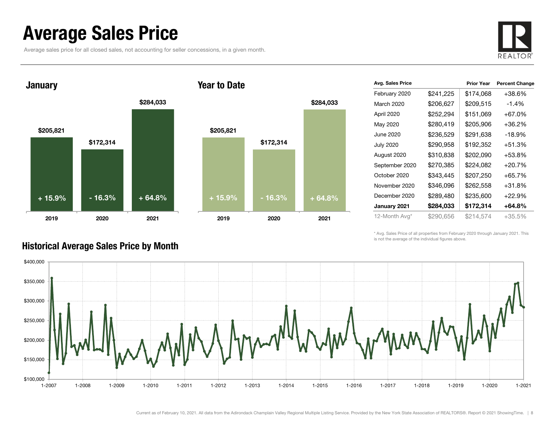### Average Sales Price

Average sales price for all closed sales, not accounting for seller concessions, in a given month.





#### Year to Date



| Avg. Sales Price |           | <b>Prior Year</b> | <b>Percent Change</b> |
|------------------|-----------|-------------------|-----------------------|
| February 2020    | \$241,225 | \$174,068         | +38.6%                |
| March 2020       | \$206,627 | \$209,515         | $-1.4\%$              |
| April 2020       | \$252,294 | \$151,069         | +67.0%                |
| May 2020         | \$280,419 | \$205,906         | +36.2%                |
| June 2020        | \$236,529 | \$291,638         | $-18.9%$              |
| <b>July 2020</b> | \$290,958 | \$192,352         | +51.3%                |
| August 2020      | \$310,838 | \$202,090         | +53.8%                |
| September 2020   | \$270,385 | \$224,082         | $+20.7%$              |
| October 2020     | \$343,445 | \$207,250         | +65.7%                |
| November 2020    | \$346,096 | \$262,558         | +31.8%                |
| December 2020    | \$289,480 | \$235,600         | $+22.9%$              |
| January 2021     | \$284,033 | \$172,314         | +64.8%                |
| 12-Month Avg*    | \$290,656 | \$214,574         | $+35.5\%$             |

\* Avg. Sales Price of all properties from February 2020 through January 2021. This is not the average of the individual figures above.



#### Historical Average Sales Price by Month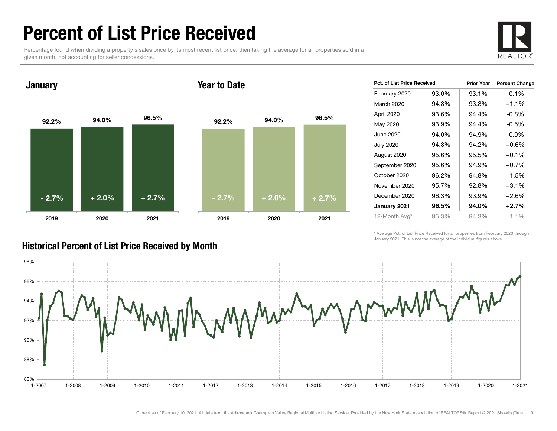### Percent of List Price Received

Percentage found when dividing a property's sales price by its most recent list price, then taking the average for all properties sold in a given month, not accounting for seller concessions.



January

#### Year to Date



| <b>Pct. of List Price Received</b> |       | <b>Prior Year</b> | <b>Percent Change</b> |
|------------------------------------|-------|-------------------|-----------------------|
| February 2020                      | 93.0% | 93.1%             | $-0.1%$               |
| March 2020                         | 94.8% | 93.8%             | $+1.1%$               |
| April 2020                         | 93.6% | 94.4%             | $-0.8%$               |
| May 2020                           | 93.9% | 94.4%             | $-0.5%$               |
| June 2020                          | 94.0% | 94.9%             | $-0.9%$               |
| <b>July 2020</b>                   | 94.8% | 94.2%             | $+0.6%$               |
| August 2020                        | 95.6% | 95.5%             | $+0.1%$               |
| September 2020                     | 95.6% | 94.9%             | $+0.7%$               |
| October 2020                       | 96.2% | 94.8%             | $+1.5%$               |
| November 2020                      | 95.7% | 92.8%             | $+3.1%$               |
| December 2020                      | 96.3% | 93.9%             | $+2.6%$               |
| January 2021                       | 96.5% | 94.0%             | $+2.7%$               |
| 12-Month Avg*                      | 95.3% | 94.3%             | $+1.1%$               |

\* Average Pct. of List Price Received for all properties from February 2020 through January 2021. This is not the average of the individual figures above.

![](_page_8_Figure_8.jpeg)

#### Historical Percent of List Price Received by Month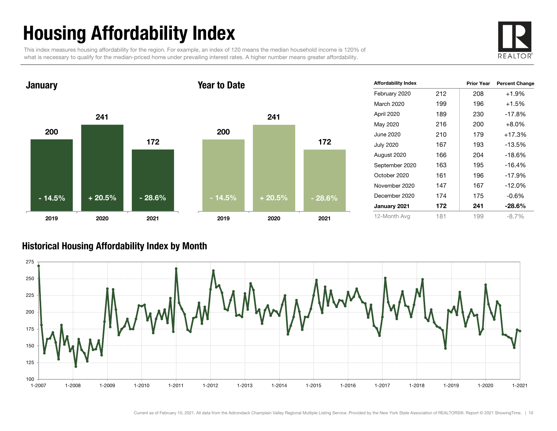## Housing Affordability Index

This index measures housing affordability for the region. For example, an index of 120 means the median household income is 120% of what is necessary to qualify for the median-priced home under prevailing interest rates. A higher number means greater affordability.

![](_page_9_Picture_2.jpeg)

![](_page_9_Figure_3.jpeg)

| <b>Affordability Index</b> |     | <b>Prior Year</b> | <b>Percent Change</b> |
|----------------------------|-----|-------------------|-----------------------|
| February 2020              | 212 | 208               | $+1.9%$               |
| March 2020                 | 199 | 196               | $+1.5%$               |
| April 2020                 | 189 | 230               | $-17.8%$              |
| May 2020                   | 216 | 200               | $+8.0%$               |
| June 2020                  | 210 | 179               | $+17.3%$              |
| <b>July 2020</b>           | 167 | 193               | $-13.5%$              |
| August 2020                | 166 | 204               | $-18.6\%$             |
| September 2020             | 163 | 195               | $-16.4%$              |
| October 2020               | 161 | 196               | $-17.9%$              |
| November 2020              | 147 | 167               | $-12.0%$              |
| December 2020              | 174 | 175               | $-0.6%$               |
| January 2021               | 172 | 241               | $-28.6\%$             |
| 12-Month Avg               | 181 | 199               | $-8.7\%$              |

#### Historical Housing Affordability Index by Mont h

![](_page_9_Figure_6.jpeg)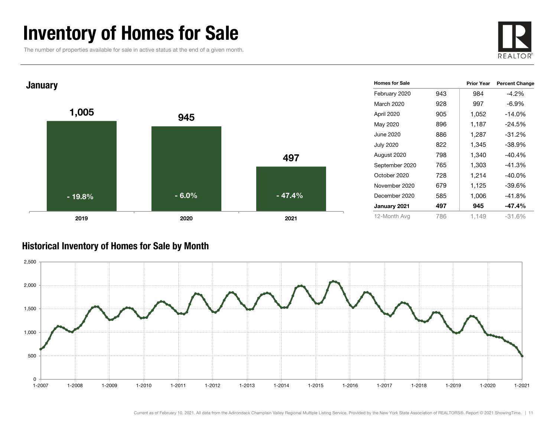### Inventory of Homes for Sale

The number of properties available for sale in active status at the end of a given month.

![](_page_10_Picture_2.jpeg)

![](_page_10_Figure_3.jpeg)

#### Historical Inventory of Homes for Sale by Month

![](_page_10_Figure_5.jpeg)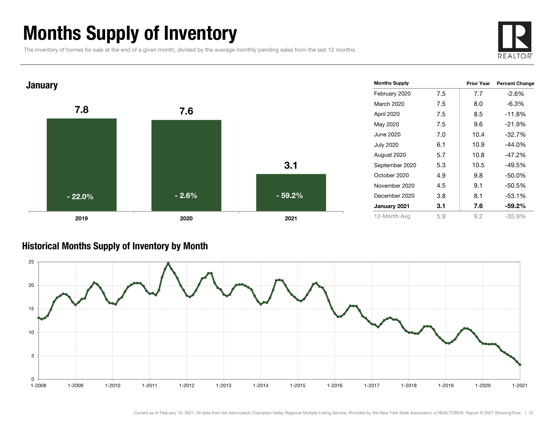### Months Supply of Inventory

The inventory of homes for sale at the end of a given month, divided by the average monthly pending sales from the last 12 months.

![](_page_11_Picture_2.jpeg)

![](_page_11_Figure_3.jpeg)

#### Historical Months Supply of Inventory by Month

![](_page_11_Figure_5.jpeg)